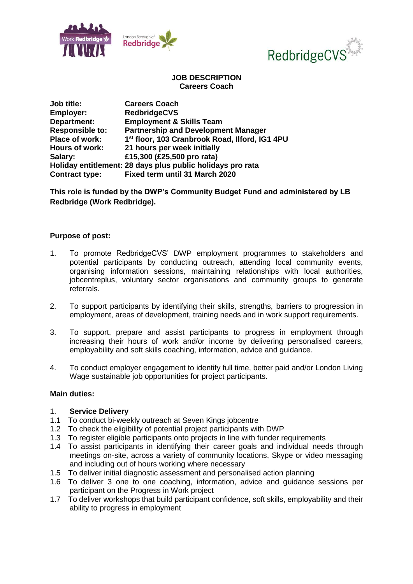



# **JOB DESCRIPTION Careers Coach**

| Job title:             | <b>Careers Coach</b>                                       |
|------------------------|------------------------------------------------------------|
| Employer:              | <b>RedbridgeCVS</b>                                        |
| Department:            | <b>Employment &amp; Skills Team</b>                        |
| <b>Responsible to:</b> | <b>Partnership and Development Manager</b>                 |
| Place of work:         | 1 <sup>st</sup> floor, 103 Cranbrook Road, Ilford, IG1 4PU |
| <b>Hours of work:</b>  | 21 hours per week initially                                |
| Salary:                | £15,300 (£25,500 pro rata)                                 |
|                        | Holiday entitlement: 28 days plus public holidays pro rata |
| <b>Contract type:</b>  | Fixed term until 31 March 2020                             |

**This role is funded by the DWP's Community Budget Fund and administered by LB Redbridge (Work Redbridge).**

# **Purpose of post:**

- 1. To promote RedbridgeCVS' DWP employment programmes to stakeholders and potential participants by conducting outreach, attending local community events, organising information sessions, maintaining relationships with local authorities, jobcentreplus, voluntary sector organisations and community groups to generate referrals.
- 2. To support participants by identifying their skills, strengths, barriers to progression in employment, areas of development, training needs and in work support requirements.
- 3. To support, prepare and assist participants to progress in employment through increasing their hours of work and/or income by delivering personalised careers, employability and soft skills coaching, information, advice and guidance.
- 4. To conduct employer engagement to identify full time, better paid and/or London Living Wage sustainable job opportunities for project participants.

### **Main duties:**

### 1. **Service Delivery**

- 1.1 To conduct bi-weekly outreach at Seven Kings jobcentre
- 1.2 To check the eligibility of potential project participants with DWP
- 1.3 To register eligible participants onto projects in line with funder requirements
- 1.4 To assist participants in identifying their career goals and individual needs through meetings on-site, across a variety of community locations, Skype or video messaging and including out of hours working where necessary
- 1.5 To deliver initial diagnostic assessment and personalised action planning
- 1.6 To deliver 3 one to one coaching, information, advice and guidance sessions per participant on the Progress in Work project
- 1.7 To deliver workshops that build participant confidence, soft skills, employability and their ability to progress in employment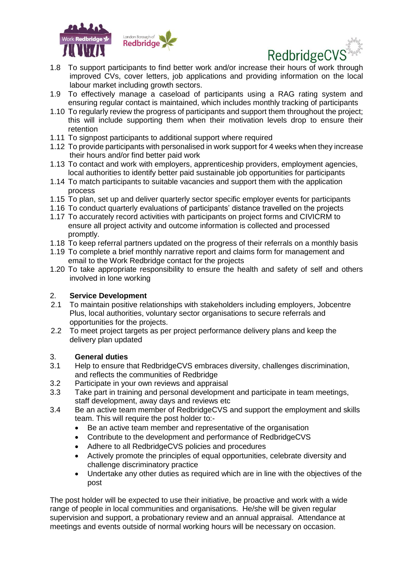



- 1.8 To support participants to find better work and/or increase their hours of work through improved CVs, cover letters, job applications and providing information on the local labour market including growth sectors.
- 1.9 To effectively manage a caseload of participants using a RAG rating system and ensuring regular contact is maintained, which includes monthly tracking of participants
- 1.10 To regularly review the progress of participants and support them throughout the project; this will include supporting them when their motivation levels drop to ensure their retention
- 1.11 To signpost participants to additional support where required
- 1.12 To provide participants with personalised in work support for 4 weeks when they increase their hours and/or find better paid work
- 1.13 To contact and work with employers, apprenticeship providers, employment agencies, local authorities to identify better paid sustainable job opportunities for participants
- 1.14 To match participants to suitable vacancies and support them with the application process
- 1.15 To plan, set up and deliver quarterly sector specific employer events for participants
- 1.16 To conduct quarterly evaluations of participants' distance travelled on the projects
- 1.17 To accurately record activities with participants on project forms and CIVICRM to ensure all project activity and outcome information is collected and processed promptly.
- 1.18 To keep referral partners updated on the progress of their referrals on a monthly basis
- 1.19 To complete a brief monthly narrative report and claims form for management and email to the Work Redbridge contact for the projects
- 1.20 To take appropriate responsibility to ensure the health and safety of self and others involved in lone working

# 2. **Service Development**

- 2.1 To maintain positive relationships with stakeholders including employers, Jobcentre Plus, local authorities, voluntary sector organisations to secure referrals and opportunities for the projects.
- 2.2 To meet project targets as per project performance delivery plans and keep the delivery plan updated

# 3. **General duties**

- 3.1 Help to ensure that RedbridgeCVS embraces diversity, challenges discrimination, and reflects the communities of Redbridge
- 3.2 Participate in your own reviews and appraisal
- 3.3 Take part in training and personal development and participate in team meetings, staff development, away days and reviews etc
- 3.4 Be an active team member of RedbridgeCVS and support the employment and skills team. This will require the post holder to:-
	- Be an active team member and representative of the organisation
	- Contribute to the development and performance of RedbridgeCVS
	- Adhere to all RedbridgeCVS policies and procedures
	- Actively promote the principles of equal opportunities, celebrate diversity and challenge discriminatory practice
	- Undertake any other duties as required which are in line with the objectives of the post

The post holder will be expected to use their initiative, be proactive and work with a wide range of people in local communities and organisations. He/she will be given regular supervision and support, a probationary review and an annual appraisal. Attendance at meetings and events outside of normal working hours will be necessary on occasion.